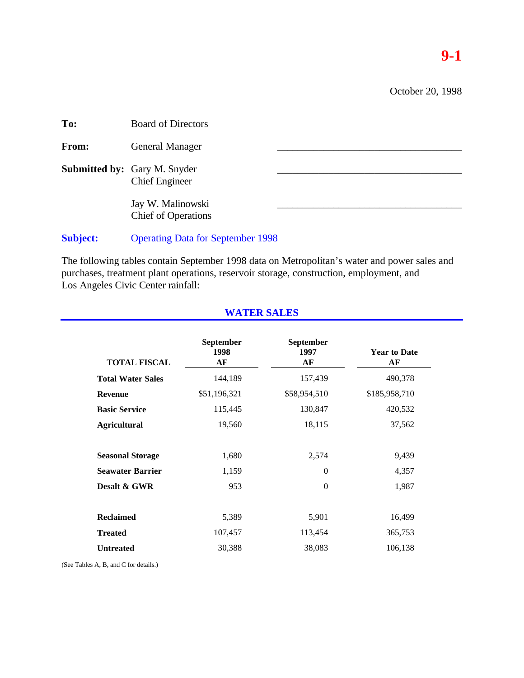October 20, 1998

| To:   | <b>Board of Directors</b>                                    |  |
|-------|--------------------------------------------------------------|--|
| From: | <b>General Manager</b>                                       |  |
|       | <b>Submitted by:</b> Gary M. Snyder<br><b>Chief Engineer</b> |  |
|       | Jay W. Malinowski<br><b>Chief of Operations</b>              |  |
|       |                                                              |  |

**Subject:** Operating Data for September 1998

The following tables contain September 1998 data on Metropolitan's water and power sales and purchases, treatment plant operations, reservoir storage, construction, employment, and Los Angeles Civic Center rainfall:

| <b>TOTAL FISCAL</b>      | <b>September</b><br>1998<br>AF | <b>September</b><br>1997<br>AF | <b>Year to Date</b><br>AF |
|--------------------------|--------------------------------|--------------------------------|---------------------------|
| <b>Total Water Sales</b> | 144,189                        | 157,439                        | 490,378                   |
| <b>Revenue</b>           | \$51,196,321                   | \$58,954,510                   | \$185,958,710             |
| <b>Basic Service</b>     | 115,445                        | 130,847                        | 420,532                   |
| <b>Agricultural</b>      | 19,560                         | 18,115                         | 37,562                    |
| <b>Seasonal Storage</b>  | 1,680                          | 2,574                          | 9,439                     |
| <b>Seawater Barrier</b>  | 1,159                          | $\theta$                       | 4,357                     |
| Desalt & GWR             | 953                            | $\Omega$                       | 1,987                     |
| <b>Reclaimed</b>         | 5,389                          | 5,901                          | 16,499                    |
| <b>Treated</b>           | 107,457                        | 113,454                        | 365,753                   |
| <b>Untreated</b>         | 30,388                         | 38,083                         | 106,138                   |

# **WATER SALES**

(See Tables A, B, and C for details.)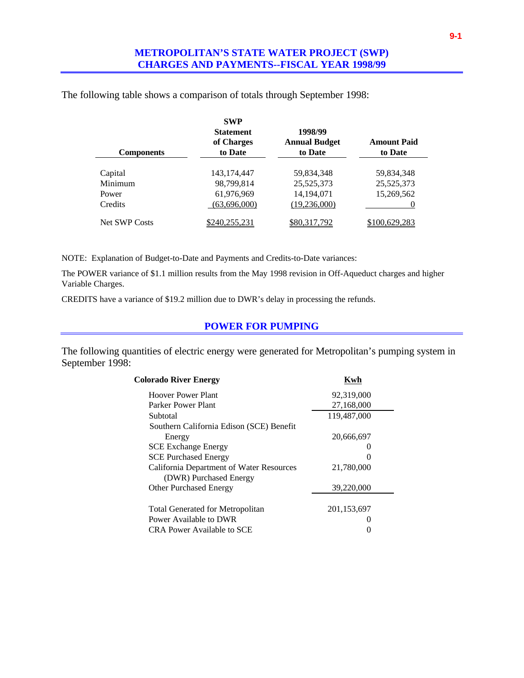| <b>Components</b>    | <b>SWP</b><br><b>Statement</b><br>of Charges<br>to Date | 1998/99<br><b>Annual Budget</b><br>to Date | <b>Amount Paid</b><br>to Date |
|----------------------|---------------------------------------------------------|--------------------------------------------|-------------------------------|
| Capital              | 143, 174, 447                                           | 59,834,348                                 | 59,834,348                    |
| Minimum              | 98,799,814                                              | 25,525,373                                 | 25,525,373                    |
| Power                | 61,976,969                                              | 14,194,071                                 | 15,269,562                    |
| Credits              | (63,696,000)                                            | (19,236,000)                               |                               |
| <b>Net SWP Costs</b> | \$240,255,231                                           | \$80,317,792                               | \$100,629,283                 |

The following table shows a comparison of totals through September 1998:

NOTE: Explanation of Budget-to-Date and Payments and Credits-to-Date variances:

The POWER variance of \$1.1 million results from the May 1998 revision in Off-Aqueduct charges and higher Variable Charges.

CREDITS have a variance of \$19.2 million due to DWR's delay in processing the refunds.

### **POWER FOR PUMPING**

The following quantities of electric energy were generated for Metropolitan's pumping system in September 1998:

| <b>Colorado River Energy</b>             | Kwh               |  |
|------------------------------------------|-------------------|--|
| Hoover Power Plant                       | 92,319,000        |  |
| Parker Power Plant                       | 27,168,000        |  |
| Subtotal                                 | 119,487,000       |  |
| Southern California Edison (SCE) Benefit |                   |  |
| Energy                                   | 20,666,697        |  |
| <b>SCE Exchange Energy</b>               |                   |  |
| <b>SCE Purchased Energy</b>              | $\mathbf{\Omega}$ |  |
| California Department of Water Resources | 21,780,000        |  |
| (DWR) Purchased Energy                   |                   |  |
| <b>Other Purchased Energy</b>            | 39,220,000        |  |
|                                          |                   |  |
| <b>Total Generated for Metropolitan</b>  | 201,153,697       |  |
| Power Available to DWR                   |                   |  |
| CRA Power Available to SCE               |                   |  |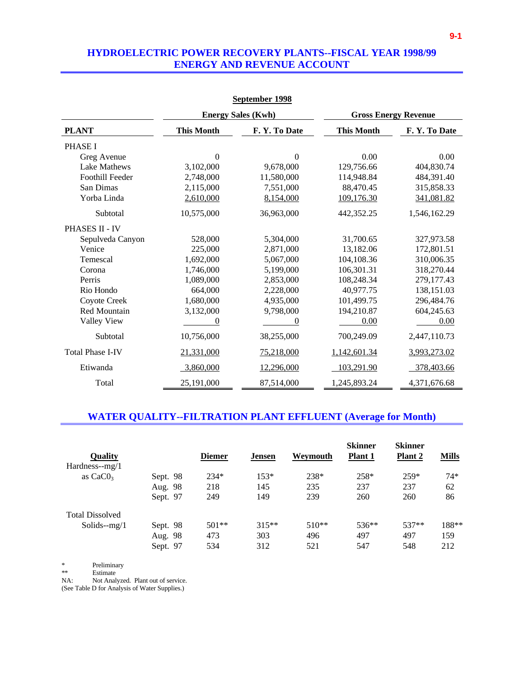### **HYDROELECTRIC POWER RECOVERY PLANTS--FISCAL YEAR 1998/99 ENERGY AND REVENUE ACCOUNT**

|                         |                   | September 1998            |                   |                             |  |  |
|-------------------------|-------------------|---------------------------|-------------------|-----------------------------|--|--|
|                         |                   | <b>Energy Sales (Kwh)</b> |                   | <b>Gross Energy Revenue</b> |  |  |
| <b>PLANT</b>            | <b>This Month</b> | F.Y.To Date               | <b>This Month</b> | F.Y.To Date                 |  |  |
| <b>PHASE I</b>          |                   |                           |                   |                             |  |  |
| Greg Avenue             | $\boldsymbol{0}$  | $\theta$                  | 0.00              | 0.00                        |  |  |
| Lake Mathews            | 3,102,000         | 9,678,000                 | 129,756.66        | 404,830.74                  |  |  |
| <b>Foothill Feeder</b>  | 2,748,000         | 11,580,000                | 114,948.84        | 484,391.40                  |  |  |
| San Dimas               | 2,115,000         | 7,551,000                 | 88,470.45         | 315,858.33                  |  |  |
| Yorba Linda             | 2,610,000         | 8,154,000                 | 109,176.30        | 341,081.82                  |  |  |
| Subtotal                | 10,575,000        | 36,963,000                | 442,352.25        | 1,546,162.29                |  |  |
| <b>PHASES II - IV</b>   |                   |                           |                   |                             |  |  |
| Sepulveda Canyon        | 528,000           | 5,304,000                 | 31,700.65         | 327,973.58                  |  |  |
| Venice                  | 225,000           | 2,871,000                 | 13,182.06         | 172,801.51                  |  |  |
| Temescal                | 1,692,000         | 5,067,000                 | 104,108.36        | 310,006.35                  |  |  |
| Corona                  | 1,746,000         | 5,199,000                 | 106,301.31        | 318,270.44                  |  |  |
| Perris                  | 1,089,000         | 2,853,000                 | 108,248.34        | 279,177.43                  |  |  |
| Rio Hondo               | 664,000           | 2,228,000                 | 40,977.75         | 138,151.03                  |  |  |
| Coyote Creek            | 1,680,000         | 4,935,000                 | 101,499.75        | 296,484.76                  |  |  |
| Red Mountain            | 3,132,000         | 9,798,000                 | 194,210.87        | 604,245.63                  |  |  |
| Valley View             | $\theta$          | $\theta$                  | 0.00              | 0.00                        |  |  |
| Subtotal                | 10,756,000        | 38,255,000                | 700,249.09        | 2,447,110.73                |  |  |
| <b>Total Phase I-IV</b> | 21,331,000        | 75,218,000                | 1,142,601.34      | 3,993,273.02                |  |  |
| Etiwanda                | 3,860,000         | 12,296,000                | 103,291.90        | 378,403.66                  |  |  |
| Total                   | 25,191,000        | 87,514,000                | 1,245,893.24      | 4,371,676.68                |  |  |

## **WATER QUALITY--FILTRATION PLANT EFFLUENT (Average for Month)**

| <b>Quality</b>         |          | <b>Diemer</b> | <b>Jensen</b> | Weymouth | <b>Skinner</b><br><b>Plant 1</b> | <b>Skinner</b><br><b>Plant 2</b> | <b>Mills</b> |
|------------------------|----------|---------------|---------------|----------|----------------------------------|----------------------------------|--------------|
| $Hardness-mg/1$        |          |               |               |          |                                  |                                  |              |
| as $CaCO3$             | Sept. 98 | $234*$        | $153*$        | 238*     | 258*                             | $259*$                           | $74*$        |
|                        | Aug. 98  | 218           | 145           | 235      | 237                              | 237                              | 62           |
|                        | Sept. 97 | 249           | 149           | 239      | 260                              | 260                              | 86           |
| <b>Total Dissolved</b> |          |               |               |          |                                  |                                  |              |
| Solids- $-mg/1$        | Sept. 98 | $501**$       | $315**$       | $510**$  | 536**                            | $537**$                          | 188**        |
|                        | Aug. 98  | 473           | 303           | 496      | 497                              | 497                              | 159          |
|                        | Sept. 97 | 534           | 312           | 521      | 547                              | 548                              | 212          |

\* Preliminary

\*\* Estimate<br>NA: Not Anal

Not Analyzed. Plant out of service.

(See Table D for Analysis of Water Supplies.)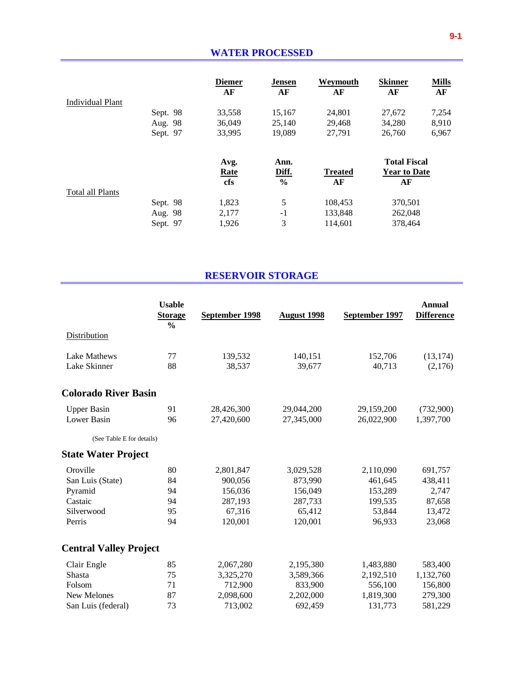|                         |          | <b>Diemer</b><br>AF | <b>Jensen</b><br>AF | Weymouth<br>AF | <b>Skinner</b><br>AF | <b>Mills</b><br>AF |
|-------------------------|----------|---------------------|---------------------|----------------|----------------------|--------------------|
| <b>Individual Plant</b> |          |                     |                     |                |                      |                    |
|                         | Sept. 98 | 33,558              | 15,167              | 24,801         | 27,672               | 7,254              |
|                         | Aug. 98  | 36,049              | 25,140              | 29,468         | 34,280               | 8,910              |
|                         | Sept. 97 | 33,995              | 19,089              | 27,791         | 26,760               | 6,967              |
|                         |          | Avg.                | Ann.                |                | <b>Total Fiscal</b>  |                    |
|                         |          | <b>Rate</b>         | Diff.               | <b>Treated</b> | <b>Year to Date</b>  |                    |
|                         |          | cfs                 | $\frac{6}{6}$       | AF             | AF                   |                    |
| Total all Plants        |          |                     |                     |                |                      |                    |
|                         | Sept. 98 | 1,823               | 5                   | 108,453        | 370,501              |                    |
|                         | Aug. 98  | 2,177               | $-1$                | 133,848        | 262,048              |                    |
|                         | Sept. 97 | 1,926               | 3                   | 114,601        | 378.464              |                    |

### **RESERVOIR STORAGE**

|                               | <b>Usable</b><br><b>Storage</b><br>$\frac{0}{0}$ | September 1998 | <b>August 1998</b> | September 1997 | <b>Annual</b><br><b>Difference</b> |
|-------------------------------|--------------------------------------------------|----------------|--------------------|----------------|------------------------------------|
| Distribution                  |                                                  |                |                    |                |                                    |
| Lake Mathews                  | 77                                               | 139,532        | 140,151            | 152,706        | (13, 174)                          |
| Lake Skinner                  | 88                                               | 38,537         | 39,677             | 40,713         | (2,176)                            |
| <b>Colorado River Basin</b>   |                                                  |                |                    |                |                                    |
| <b>Upper Basin</b>            | 91                                               | 28,426,300     | 29,044,200         | 29,159,200     | (732,900)                          |
| Lower Basin                   | 96                                               | 27,420,600     | 27,345,000         | 26,022,900     | 1,397,700                          |
| (See Table E for details)     |                                                  |                |                    |                |                                    |
| <b>State Water Project</b>    |                                                  |                |                    |                |                                    |
| Oroville                      | 80                                               | 2,801,847      | 3,029,528          | 2,110,090      | 691,757                            |
| San Luis (State)              | 84                                               | 900,056        | 873,990            | 461,645        | 438,411                            |
| Pyramid                       | 94                                               | 156,036        | 156,049            | 153,289        | 2,747                              |
| Castaic                       | 94                                               | 287,193        | 287,733            | 199,535        | 87,658                             |
| Silverwood                    | 95                                               | 67,316         | 65,412             | 53,844         | 13,472                             |
| Perris                        | 94                                               | 120,001        | 120,001            | 96,933         | 23,068                             |
| <b>Central Valley Project</b> |                                                  |                |                    |                |                                    |
| Clair Engle                   | 85                                               | 2,067,280      | 2,195,380          | 1,483,880      | 583,400                            |
| Shasta                        | 75                                               | 3,325,270      | 3,589,366          | 2,192,510      | 1,132,760                          |
| Folsom                        | 71                                               | 712,900        | 833,900            | 556,100        | 156,800                            |
| New Melones                   | 87                                               | 2,098,600      | 2,202,000          | 1,819,300      | 279,300                            |
| San Luis (federal)            | 73                                               | 713,002        | 692,459            | 131,773        | 581,229                            |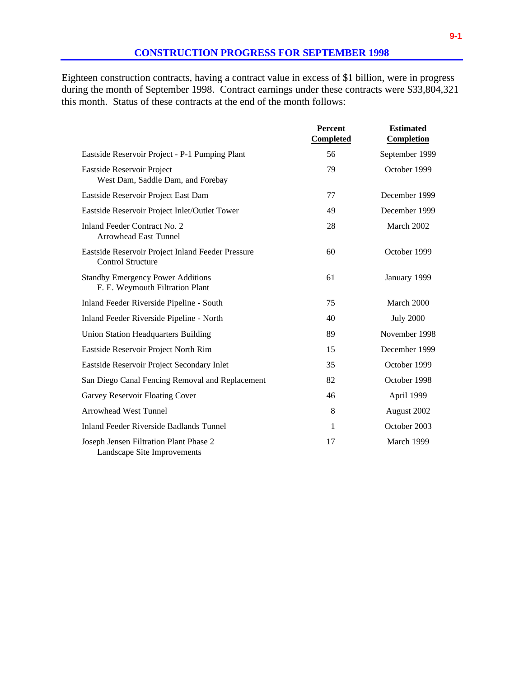Eighteen construction contracts, having a contract value in excess of \$1 billion, were in progress during the month of September 1998. Contract earnings under these contracts were \$33,804,321 this month. Status of these contracts at the end of the month follows:

|                                                                               | <b>Percent</b><br><b>Completed</b> | <b>Estimated</b><br><b>Completion</b> |
|-------------------------------------------------------------------------------|------------------------------------|---------------------------------------|
| Eastside Reservoir Project - P-1 Pumping Plant                                | 56                                 | September 1999                        |
| Eastside Reservoir Project<br>West Dam, Saddle Dam, and Forebay               | 79                                 | October 1999                          |
| Eastside Reservoir Project East Dam                                           | 77                                 | December 1999                         |
| Eastside Reservoir Project Inlet/Outlet Tower                                 | 49                                 | December 1999                         |
| Inland Feeder Contract No. 2<br><b>Arrowhead East Tunnel</b>                  | 28                                 | March 2002                            |
| Eastside Reservoir Project Inland Feeder Pressure<br><b>Control Structure</b> | 60                                 | October 1999                          |
| <b>Standby Emergency Power Additions</b><br>F. E. Weymouth Filtration Plant   | 61                                 | January 1999                          |
| Inland Feeder Riverside Pipeline - South                                      | 75                                 | March 2000                            |
| Inland Feeder Riverside Pipeline - North                                      | 40                                 | <b>July 2000</b>                      |
| <b>Union Station Headquarters Building</b>                                    | 89                                 | November 1998                         |
| Eastside Reservoir Project North Rim                                          | 15                                 | December 1999                         |
| Eastside Reservoir Project Secondary Inlet                                    | 35                                 | October 1999                          |
| San Diego Canal Fencing Removal and Replacement                               | 82                                 | October 1998                          |
| Garvey Reservoir Floating Cover                                               | 46                                 | April 1999                            |
| <b>Arrowhead West Tunnel</b>                                                  | 8                                  | August 2002                           |
| <b>Inland Feeder Riverside Badlands Tunnel</b>                                | 1                                  | October 2003                          |
| Joseph Jensen Filtration Plant Phase 2<br>Landscape Site Improvements         | 17                                 | March 1999                            |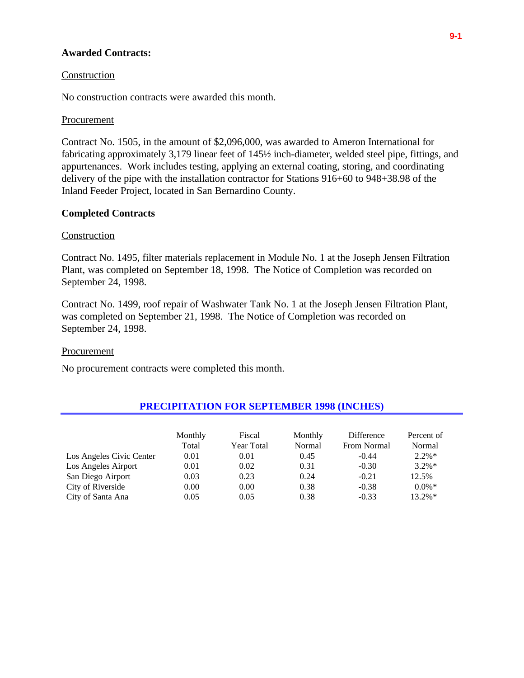### **Awarded Contracts:**

#### Construction

No construction contracts were awarded this month.

### Procurement

Contract No. 1505, in the amount of \$2,096,000, was awarded to Ameron International for fabricating approximately 3,179 linear feet of 145½ inch-diameter, welded steel pipe, fittings, and appurtenances. Work includes testing, applying an external coating, storing, and coordinating delivery of the pipe with the installation contractor for Stations 916+60 to 948+38.98 of the Inland Feeder Project, located in San Bernardino County.

### **Completed Contracts**

#### **Construction**

Contract No. 1495, filter materials replacement in Module No. 1 at the Joseph Jensen Filtration Plant, was completed on September 18, 1998. The Notice of Completion was recorded on September 24, 1998.

Contract No. 1499, roof repair of Washwater Tank No. 1 at the Joseph Jensen Filtration Plant, was completed on September 21, 1998. The Notice of Completion was recorded on September 24, 1998.

#### Procurement

No procurement contracts were completed this month.

|                          | Monthly<br>Total | Fiscal<br>Year Total | Monthly<br>Normal | Difference<br>From Normal | Percent of<br>Normal |
|--------------------------|------------------|----------------------|-------------------|---------------------------|----------------------|
| Los Angeles Civic Center | 0.01             | 0.01                 | 0.45              | $-0.44$                   | $2.2\%*$             |
| Los Angeles Airport      | 0.01             | 0.02                 | 0.31              | $-0.30$                   | $3.2\%*$             |
| San Diego Airport        | 0.03             | 0.23                 | 0.24              | $-0.21$                   | 12.5%                |
| City of Riverside        | 0.00             | 0.00                 | 0.38              | $-0.38$                   | $0.0\%$ *            |
| City of Santa Ana        | 0.05             | 0.05                 | 0.38              | $-0.33$                   | $13.2\%*$            |

### **PRECIPITATION FOR SEPTEMBER 1998 (INCHES)**